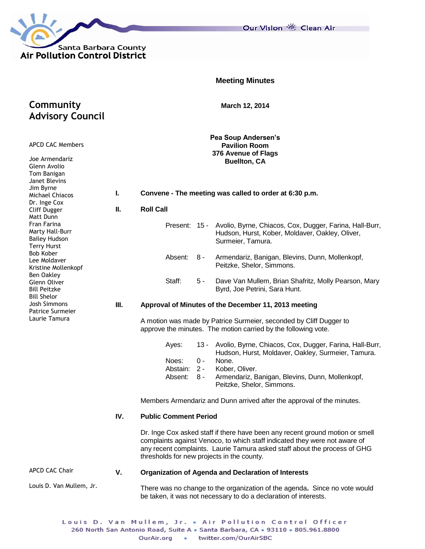

Our Vision 卷 Clean Air

|                                                                                                                                                                                                                                                                                                                                                                                                                                                          |                                                                                           | <b>Meeting Minutes</b>                                                                                                                                                                                                                                                                 |  |  |  |  |  |  |  |  |  |
|----------------------------------------------------------------------------------------------------------------------------------------------------------------------------------------------------------------------------------------------------------------------------------------------------------------------------------------------------------------------------------------------------------------------------------------------------------|-------------------------------------------------------------------------------------------|----------------------------------------------------------------------------------------------------------------------------------------------------------------------------------------------------------------------------------------------------------------------------------------|--|--|--|--|--|--|--|--|--|
| Community<br><b>Advisory Council</b>                                                                                                                                                                                                                                                                                                                                                                                                                     |                                                                                           | March 12, 2014                                                                                                                                                                                                                                                                         |  |  |  |  |  |  |  |  |  |
| <b>APCD CAC Members</b><br>Joe Armendariz<br>Glenn Avolio<br>Tom Banigan<br>Janet Blevins<br>Jim Byrne<br>Michael Chiacos<br>Dr. Inge Cox<br>Cliff Dugger<br>Matt Dunn<br>Fran Farina<br>Marty Hall-Burr<br><b>Bailey Hudson</b><br><b>Terry Hurst</b><br><b>Bob Kober</b><br>Lee Moldaver<br>Kristine Mollenkopf<br>Ben Oakley<br>Glenn Oliver<br><b>Bill Peitzke</b><br><b>Bill Shelor</b><br><b>Josh Simmons</b><br>Patrice Surmeier<br>Laurie Tamura | Pea Soup Andersen's<br><b>Pavilion Room</b><br>376 Avenue of Flags<br><b>Buellton, CA</b> |                                                                                                                                                                                                                                                                                        |  |  |  |  |  |  |  |  |  |
|                                                                                                                                                                                                                                                                                                                                                                                                                                                          | L.                                                                                        | Convene - The meeting was called to order at 6:30 p.m.                                                                                                                                                                                                                                 |  |  |  |  |  |  |  |  |  |
|                                                                                                                                                                                                                                                                                                                                                                                                                                                          | Ш.                                                                                        | <b>Roll Call</b>                                                                                                                                                                                                                                                                       |  |  |  |  |  |  |  |  |  |
|                                                                                                                                                                                                                                                                                                                                                                                                                                                          |                                                                                           | Present: 15 - Avolio, Byrne, Chiacos, Cox, Dugger, Farina, Hall-Burr,<br>Hudson, Hurst, Kober, Moldaver, Oakley, Oliver,<br>Surmeier, Tamura.                                                                                                                                          |  |  |  |  |  |  |  |  |  |
|                                                                                                                                                                                                                                                                                                                                                                                                                                                          |                                                                                           | Absent:<br>Armendariz, Banigan, Blevins, Dunn, Mollenkopf,<br>8 -<br>Peitzke, Shelor, Simmons.                                                                                                                                                                                         |  |  |  |  |  |  |  |  |  |
|                                                                                                                                                                                                                                                                                                                                                                                                                                                          |                                                                                           | Staff:<br>$5 -$<br>Dave Van Mullem, Brian Shafritz, Molly Pearson, Mary<br>Byrd, Joe Petrini, Sara Hunt.                                                                                                                                                                               |  |  |  |  |  |  |  |  |  |
|                                                                                                                                                                                                                                                                                                                                                                                                                                                          | Ш.                                                                                        | Approval of Minutes of the December 11, 2013 meeting                                                                                                                                                                                                                                   |  |  |  |  |  |  |  |  |  |
|                                                                                                                                                                                                                                                                                                                                                                                                                                                          |                                                                                           | A motion was made by Patrice Surmeier, seconded by Cliff Dugger to<br>approve the minutes. The motion carried by the following vote.                                                                                                                                                   |  |  |  |  |  |  |  |  |  |
|                                                                                                                                                                                                                                                                                                                                                                                                                                                          |                                                                                           | Avolio, Byrne, Chiacos, Cox, Dugger, Farina, Hall-Burr,<br>Ayes:<br>13 -<br>Hudson, Hurst, Moldaver, Oakley, Surmeier, Tamura.<br>Noes:<br>0 -<br>None.                                                                                                                                |  |  |  |  |  |  |  |  |  |
|                                                                                                                                                                                                                                                                                                                                                                                                                                                          |                                                                                           | Abstain:<br>$2 -$<br>Kober, Oliver.<br>Armendariz, Banigan, Blevins, Dunn, Mollenkopf,<br>Absent:<br>8 -<br>Peitzke, Shelor, Simmons.                                                                                                                                                  |  |  |  |  |  |  |  |  |  |
|                                                                                                                                                                                                                                                                                                                                                                                                                                                          |                                                                                           | Members Armendariz and Dunn arrived after the approval of the minutes.                                                                                                                                                                                                                 |  |  |  |  |  |  |  |  |  |
|                                                                                                                                                                                                                                                                                                                                                                                                                                                          | IV.                                                                                       | <b>Public Comment Period</b>                                                                                                                                                                                                                                                           |  |  |  |  |  |  |  |  |  |
|                                                                                                                                                                                                                                                                                                                                                                                                                                                          |                                                                                           | Dr. Inge Cox asked staff if there have been any recent ground motion or smell<br>complaints against Venoco, to which staff indicated they were not aware of<br>any recent complaints. Laurie Tamura asked staff about the process of GHG<br>thresholds for new projects in the county. |  |  |  |  |  |  |  |  |  |
| <b>APCD CAC Chair</b>                                                                                                                                                                                                                                                                                                                                                                                                                                    | V.                                                                                        | Organization of Agenda and Declaration of Interests                                                                                                                                                                                                                                    |  |  |  |  |  |  |  |  |  |
| Louis D. Van Mullem, Jr.                                                                                                                                                                                                                                                                                                                                                                                                                                 |                                                                                           | There was no change to the organization of the agenda. Since no vote would<br>be taken, it was not necessary to do a declaration of interests.                                                                                                                                         |  |  |  |  |  |  |  |  |  |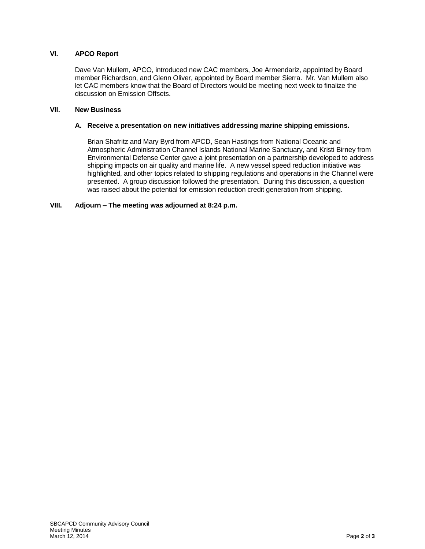## **VI. APCO Report**

Dave Van Mullem, APCO, introduced new CAC members, Joe Armendariz, appointed by Board member Richardson, and Glenn Oliver, appointed by Board member Sierra. Mr. Van Mullem also let CAC members know that the Board of Directors would be meeting next week to finalize the discussion on Emission Offsets.

#### **VII. New Business**

#### **A. Receive a presentation on new initiatives addressing marine shipping emissions.**

Brian Shafritz and Mary Byrd from APCD, Sean Hastings from National Oceanic and Atmospheric Administration Channel Islands National Marine Sanctuary, and Kristi Birney from Environmental Defense Center gave a joint presentation on a partnership developed to address shipping impacts on air quality and marine life. A new vessel speed reduction initiative was highlighted, and other topics related to shipping regulations and operations in the Channel were presented. A group discussion followed the presentation. During this discussion, a question was raised about the potential for emission reduction credit generation from shipping.

## **VIII. Adjourn – The meeting was adjourned at 8:24 p.m.**